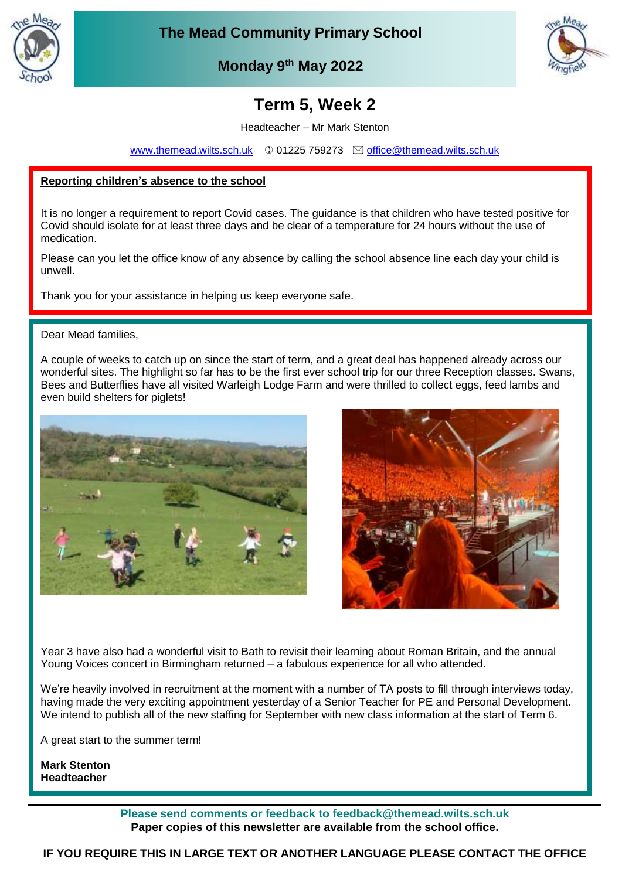

**The Mead Community Primary School**



**Monday 9 th May 2022 March 2022**

# **Term 5, Week 2**

Headteacher – Mr Mark Stenton

[www.themead.wilts.sch.uk](http://www.themead.wilts.sch.uk/)  $\circledcirc$  01225 759273  $\boxtimes$  [office@themead.wilts.sch.uk](mailto:office@themead.wilts.sch.uk)

#### **Reporting children's absence to the school**

It is no longer a requirement to report Covid cases. The guidance is that children who have tested positive for Covid should isolate for at least three days and be clear of a temperature for 24 hours without the use of medication.

Please can you let the office know of any absence by calling the school absence line each day your child is unwell.

Thank you for your assistance in helping us keep everyone safe.

Dear Mead families,

A couple of weeks to catch up on since the start of term, and a great deal has happened already across our wonderful sites. The highlight so far has to be the first ever school trip for our three Reception classes. Swans, Bees and Butterflies have all visited Warleigh Lodge Farm and were thrilled to collect eggs, feed lambs and even build shelters for piglets!





Year 3 have also had a wonderful visit to Bath to revisit their learning about Roman Britain, and the annual Young Voices concert in Birmingham returned – a fabulous experience for all who attended.

We're heavily involved in recruitment at the moment with a number of TA posts to fill through interviews today, having made the very exciting appointment yesterday of a Senior Teacher for PE and Personal Development. We intend to publish all of the new staffing for September with new class information at the start of Term 6.

A great start to the summer term!

**Mark Stenton Headteacher**

> **Please send comments or feedback to feedback@themead.wilts.sch.uk Paper copies of this newsletter are available from the school office.**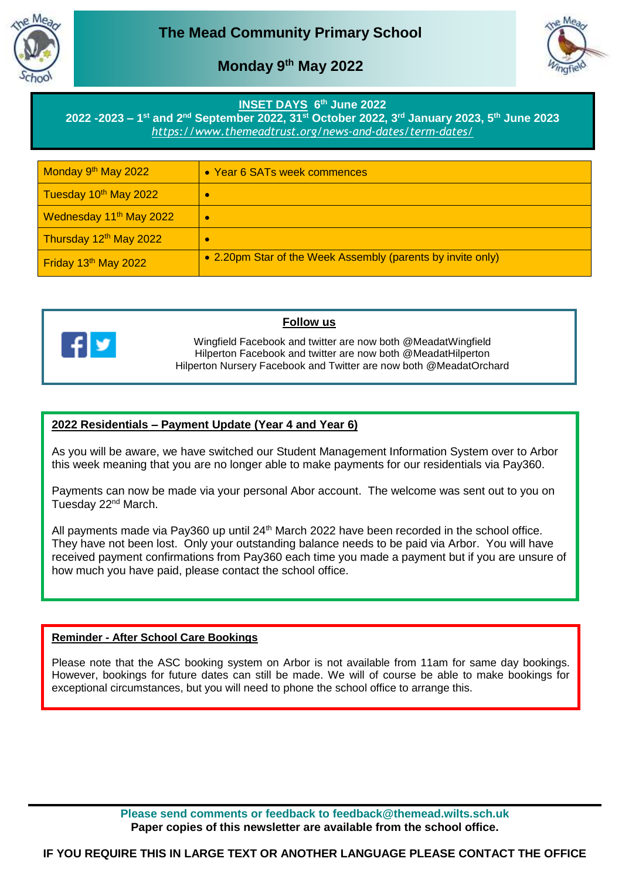



### **Monday 9 th May 2022 March 2022**

#### **INSET DAYS 6 th June 2022**

**2022 -2023 – 1 st and 2nd September 2022, 31st October 2022, 3rd January 2023, 5th June 2023** *<https://www.themeadtrust.org/news-and-dates/term-dates/>*

| Monday 9 <sup>th</sup> May 2022     | • Year 6 SATs week commences                                |
|-------------------------------------|-------------------------------------------------------------|
| Tuesday 10th May 2022               | c                                                           |
| Wednesday 11 <sup>th</sup> May 2022 | $\bullet$                                                   |
| Thursday 12 <sup>th</sup> May 2022  | $\bullet$                                                   |
| Friday 13th May 2022                | • 2.20pm Star of the Week Assembly (parents by invite only) |



#### **Follow us**

Wingfield Facebook and twitter are now both @MeadatWingfield Hilperton Facebook and twitter are now both @MeadatHilperton Hilperton Nursery Facebook and Twitter are now both @MeadatOrchard

#### **2022 Residentials – Payment Update (Year 4 and Year 6)**

As you will be aware, we have switched our Student Management Information System over to Arbor this week meaning that you are no longer able to make payments for our residentials via Pay360.

Payments can now be made via your personal Abor account. The welcome was sent out to you on Tuesday 22<sup>nd</sup> March.

All payments made via Pay360 up until 24<sup>th</sup> March 2022 have been recorded in the school office. They have not been lost. Only your outstanding balance needs to be paid via Arbor. You will have received payment confirmations from Pay360 each time you made a payment but if you are unsure of how much you have paid, please contact the school office.

#### **Reminder - After School Care Bookings**

Please note that the ASC booking system on Arbor is not available from 11am for same day bookings. However, bookings for future dates can still be made. We will of course be able to make bookings for exceptional circumstances, but you will need to phone the school office to arrange this.

> **Please send comments or feedback to feedback@themead.wilts.sch.uk Paper copies of this newsletter are available from the school office.**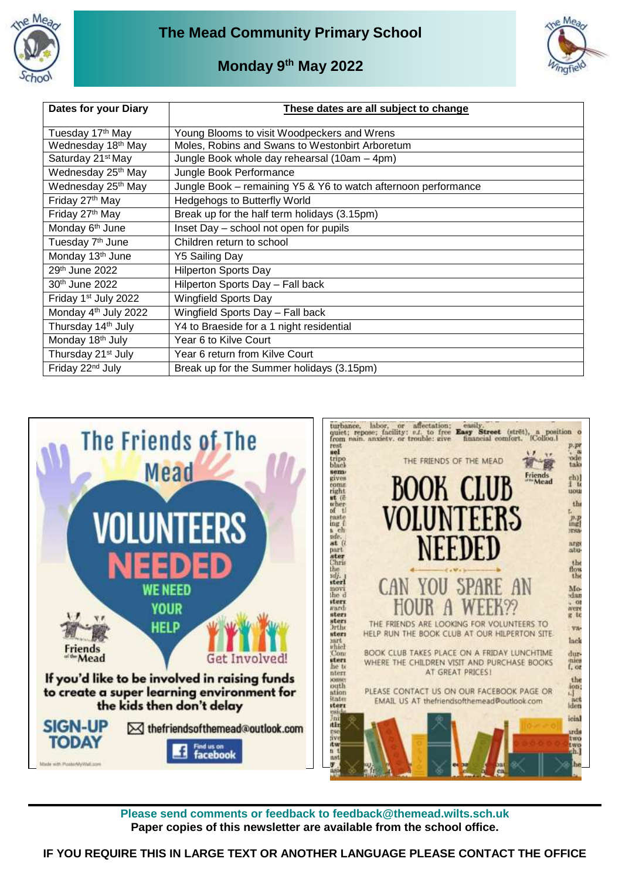



## **Monday 9 th May 2022 March 2022**

| <b>Dates for your Diary</b>      | These dates are all subject to change                          |
|----------------------------------|----------------------------------------------------------------|
| Tuesday 17 <sup>th</sup> May     | Young Blooms to visit Woodpeckers and Wrens                    |
| Wednesday 18 <sup>th</sup> May   | Moles, Robins and Swans to Westonbirt Arboretum                |
| Saturday 21 <sup>st</sup> May    | Jungle Book whole day rehearsal (10am - 4pm)                   |
| Wednesday 25 <sup>th</sup> May   | Jungle Book Performance                                        |
| Wednesday 25 <sup>th</sup> May   | Jungle Book – remaining Y5 & Y6 to watch afternoon performance |
| Friday 27 <sup>th</sup> May      | <b>Hedgehogs to Butterfly World</b>                            |
| Friday 27 <sup>th</sup> May      | Break up for the half term holidays (3.15pm)                   |
| Monday 6 <sup>th</sup> June      | Inset Day - school not open for pupils                         |
| Tuesday 7 <sup>th</sup> June     | Children return to school                                      |
| Monday 13 <sup>th</sup> June     | Y5 Sailing Day                                                 |
| 29 <sup>th</sup> June 2022       | <b>Hilperton Sports Day</b>                                    |
| 30 <sup>th</sup> June 2022       | Hilperton Sports Day - Fall back                               |
| Friday 1 <sup>st</sup> July 2022 | <b>Wingfield Sports Day</b>                                    |
| Monday 4 <sup>th</sup> July 2022 | Wingfield Sports Day - Fall back                               |
| Thursday 14th July               | Y4 to Braeside for a 1 night residential                       |
| Monday 18th July                 | Year 6 to Kilve Court                                          |
| Thursday 21 <sup>st</sup> July   | Year 6 return from Kilve Court                                 |
| Friday 22 <sup>nd</sup> July     | Break up for the Summer holidays (3.15pm)                      |



**Please send comments or feedback to feedback@themead.wilts.sch.uk Paper copies of this newsletter are available from the school office.**